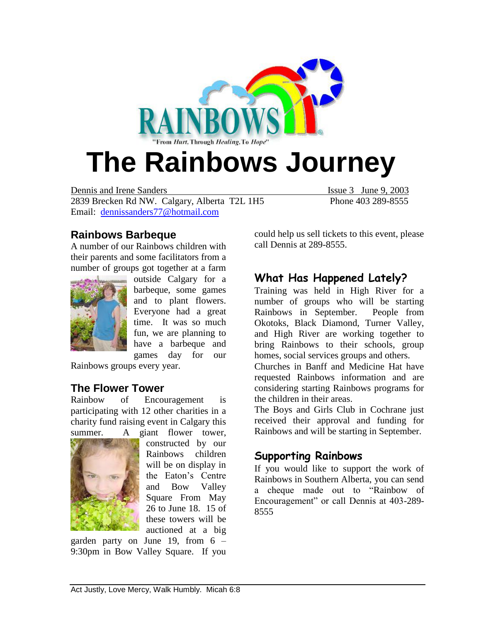

Dennis and Irene Sanders Issue 3 June 9, 2003 2839 Brecken Rd NW. Calgary, Alberta T2L 1H5 Phone 403 289-8555 Email: [dennissanders77@hotmail.com](mailto:dennissanders77@hotmail.com)

#### **Rainbows Barbeque**

A number of our Rainbows children with their parents and some facilitators from a number of groups got together at a farm



outside Calgary for a barbeque, some games and to plant flowers. Everyone had a great time. It was so much fun, we are planning to have a barbeque and games day for our

Rainbows groups every year.

#### **The Flower Tower**

Rainbow of Encouragement is participating with 12 other charities in a charity fund raising event in Calgary this summer. A giant flower tower,



constructed by our Rainbows children will be on display in the Eaton's Centre and Bow Valley Square From May 26 to June 18. 15 of these towers will be auctioned at a big

garden party on June 19, from 6 – 9:30pm in Bow Valley Square. If you could help us sell tickets to this event, please call Dennis at 289-8555.

### **What Has Happened Lately?**

Training was held in High River for a number of groups who will be starting Rainbows in September. People from Okotoks, Black Diamond, Turner Valley, and High River are working together to bring Rainbows to their schools, group homes, social services groups and others.

Churches in Banff and Medicine Hat have requested Rainbows information and are considering starting Rainbows programs for the children in their areas.

The Boys and Girls Club in Cochrane just received their approval and funding for Rainbows and will be starting in September.

### **Supporting Rainbows**

If you would like to support the work of Rainbows in Southern Alberta, you can send a cheque made out to "Rainbow of Encouragement" or call Dennis at 403-289- 8555